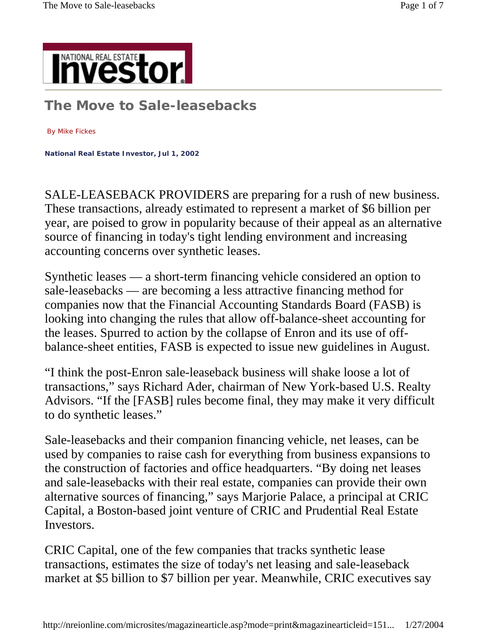

**The Move to Sale-leasebacks**

By Mike Fickes

**National Real Estate Investor, Jul 1, 2002** 

SALE-LEASEBACK PROVIDERS are preparing for a rush of new business. These transactions, already estimated to represent a market of \$6 billion per year, are poised to grow in popularity because of their appeal as an alternative source of financing in today's tight lending environment and increasing accounting concerns over synthetic leases.

Synthetic leases — a short-term financing vehicle considered an option to sale-leasebacks — are becoming a less attractive financing method for companies now that the Financial Accounting Standards Board (FASB) is looking into changing the rules that allow off-balance-sheet accounting for the leases. Spurred to action by the collapse of Enron and its use of offbalance-sheet entities, FASB is expected to issue new guidelines in August.

"I think the post-Enron sale-leaseback business will shake loose a lot of transactions," says Richard Ader, chairman of New York-based U.S. Realty Advisors. "If the [FASB] rules become final, they may make it very difficult to do synthetic leases."

Sale-leasebacks and their companion financing vehicle, net leases, can be used by companies to raise cash for everything from business expansions to the construction of factories and office headquarters. "By doing net leases and sale-leasebacks with their real estate, companies can provide their own alternative sources of financing," says Marjorie Palace, a principal at CRIC Capital, a Boston-based joint venture of CRIC and Prudential Real Estate Investors.

CRIC Capital, one of the few companies that tracks synthetic lease transactions, estimates the size of today's net leasing and sale-leaseback market at \$5 billion to \$7 billion per year. Meanwhile, CRIC executives say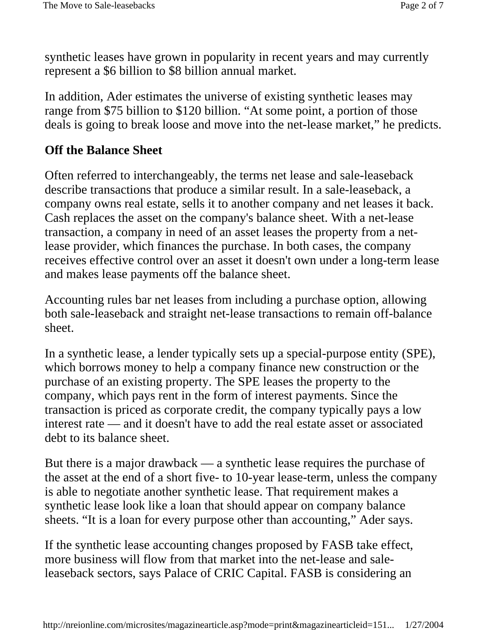synthetic leases have grown in popularity in recent years and may currently represent a \$6 billion to \$8 billion annual market.

In addition, Ader estimates the universe of existing synthetic leases may range from \$75 billion to \$120 billion. "At some point, a portion of those deals is going to break loose and move into the net-lease market," he predicts.

#### **Off the Balance Sheet**

Often referred to interchangeably, the terms net lease and sale-leaseback describe transactions that produce a similar result. In a sale-leaseback, a company owns real estate, sells it to another company and net leases it back. Cash replaces the asset on the company's balance sheet. With a net-lease transaction, a company in need of an asset leases the property from a netlease provider, which finances the purchase. In both cases, the company receives effective control over an asset it doesn't own under a long-term lease and makes lease payments off the balance sheet.

Accounting rules bar net leases from including a purchase option, allowing both sale-leaseback and straight net-lease transactions to remain off-balance sheet.

In a synthetic lease, a lender typically sets up a special-purpose entity (SPE), which borrows money to help a company finance new construction or the purchase of an existing property. The SPE leases the property to the company, which pays rent in the form of interest payments. Since the transaction is priced as corporate credit, the company typically pays a low interest rate — and it doesn't have to add the real estate asset or associated debt to its balance sheet.

But there is a major drawback — a synthetic lease requires the purchase of the asset at the end of a short five- to 10-year lease-term, unless the company is able to negotiate another synthetic lease. That requirement makes a synthetic lease look like a loan that should appear on company balance sheets. "It is a loan for every purpose other than accounting," Ader says.

If the synthetic lease accounting changes proposed by FASB take effect, more business will flow from that market into the net-lease and saleleaseback sectors, says Palace of CRIC Capital. FASB is considering an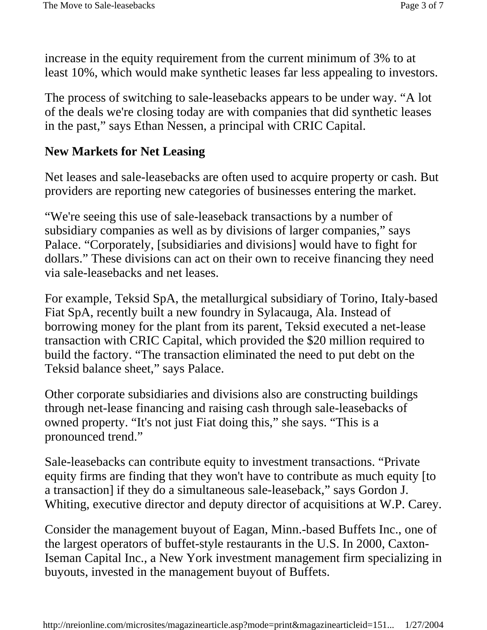increase in the equity requirement from the current minimum of 3% to at least 10%, which would make synthetic leases far less appealing to investors.

The process of switching to sale-leasebacks appears to be under way. "A lot of the deals we're closing today are with companies that did synthetic leases in the past," says Ethan Nessen, a principal with CRIC Capital.

#### **New Markets for Net Leasing**

Net leases and sale-leasebacks are often used to acquire property or cash. But providers are reporting new categories of businesses entering the market.

"We're seeing this use of sale-leaseback transactions by a number of subsidiary companies as well as by divisions of larger companies," says Palace. "Corporately, [subsidiaries and divisions] would have to fight for dollars." These divisions can act on their own to receive financing they need via sale-leasebacks and net leases.

For example, Teksid SpA, the metallurgical subsidiary of Torino, Italy-based Fiat SpA, recently built a new foundry in Sylacauga, Ala. Instead of borrowing money for the plant from its parent, Teksid executed a net-lease transaction with CRIC Capital, which provided the \$20 million required to build the factory. "The transaction eliminated the need to put debt on the Teksid balance sheet," says Palace.

Other corporate subsidiaries and divisions also are constructing buildings through net-lease financing and raising cash through sale-leasebacks of owned property. "It's not just Fiat doing this," she says. "This is a pronounced trend."

Sale-leasebacks can contribute equity to investment transactions. "Private equity firms are finding that they won't have to contribute as much equity [to a transaction] if they do a simultaneous sale-leaseback," says Gordon J. Whiting, executive director and deputy director of acquisitions at W.P. Carey.

Consider the management buyout of Eagan, Minn.-based Buffets Inc., one of the largest operators of buffet-style restaurants in the U.S. In 2000, Caxton-Iseman Capital Inc., a New York investment management firm specializing in buyouts, invested in the management buyout of Buffets.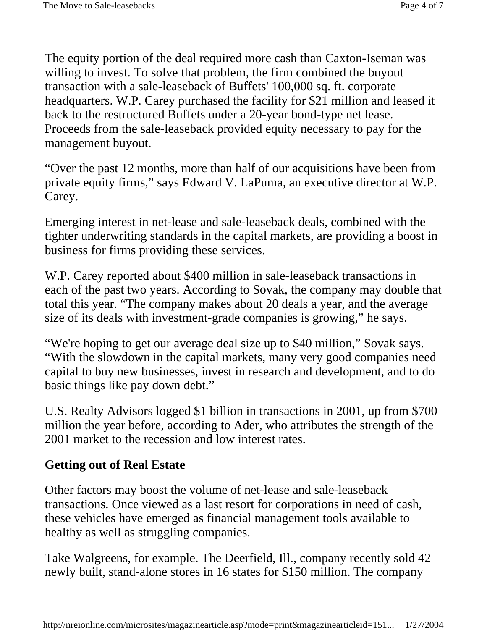The equity portion of the deal required more cash than Caxton-Iseman was willing to invest. To solve that problem, the firm combined the buyout transaction with a sale-leaseback of Buffets' 100,000 sq. ft. corporate headquarters. W.P. Carey purchased the facility for \$21 million and leased it back to the restructured Buffets under a 20-year bond-type net lease. Proceeds from the sale-leaseback provided equity necessary to pay for the management buyout.

"Over the past 12 months, more than half of our acquisitions have been from private equity firms," says Edward V. LaPuma, an executive director at W.P. Carey.

Emerging interest in net-lease and sale-leaseback deals, combined with the tighter underwriting standards in the capital markets, are providing a boost in business for firms providing these services.

W.P. Carey reported about \$400 million in sale-leaseback transactions in each of the past two years. According to Sovak, the company may double that total this year. "The company makes about 20 deals a year, and the average size of its deals with investment-grade companies is growing," he says.

"We're hoping to get our average deal size up to \$40 million," Sovak says. "With the slowdown in the capital markets, many very good companies need capital to buy new businesses, invest in research and development, and to do basic things like pay down debt."

U.S. Realty Advisors logged \$1 billion in transactions in 2001, up from \$700 million the year before, according to Ader, who attributes the strength of the 2001 market to the recession and low interest rates.

## **Getting out of Real Estate**

Other factors may boost the volume of net-lease and sale-leaseback transactions. Once viewed as a last resort for corporations in need of cash, these vehicles have emerged as financial management tools available to healthy as well as struggling companies.

Take Walgreens, for example. The Deerfield, Ill., company recently sold 42 newly built, stand-alone stores in 16 states for \$150 million. The company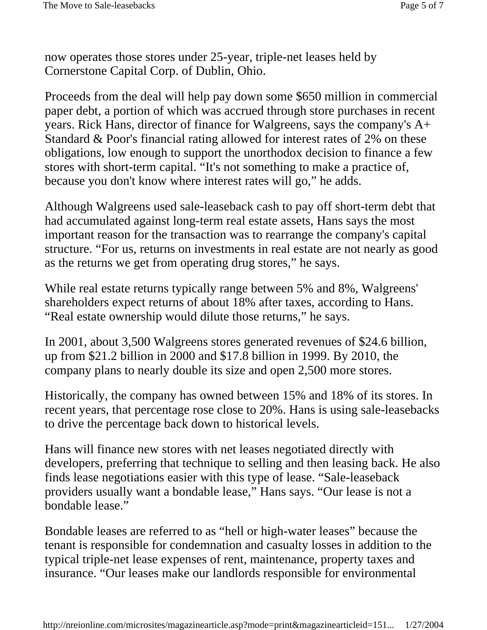now operates those stores under 25-year, triple-net leases held by Cornerstone Capital Corp. of Dublin, Ohio.

Proceeds from the deal will help pay down some \$650 million in commercial paper debt, a portion of which was accrued through store purchases in recent years. Rick Hans, director of finance for Walgreens, says the company's A+ Standard & Poor's financial rating allowed for interest rates of 2% on these obligations, low enough to support the unorthodox decision to finance a few stores with short-term capital. "It's not something to make a practice of, because you don't know where interest rates will go," he adds.

Although Walgreens used sale-leaseback cash to pay off short-term debt that had accumulated against long-term real estate assets, Hans says the most important reason for the transaction was to rearrange the company's capital structure. "For us, returns on investments in real estate are not nearly as good as the returns we get from operating drug stores," he says.

While real estate returns typically range between 5% and 8%, Walgreens' shareholders expect returns of about 18% after taxes, according to Hans. "Real estate ownership would dilute those returns," he says.

In 2001, about 3,500 Walgreens stores generated revenues of \$24.6 billion, up from \$21.2 billion in 2000 and \$17.8 billion in 1999. By 2010, the company plans to nearly double its size and open 2,500 more stores.

Historically, the company has owned between 15% and 18% of its stores. In recent years, that percentage rose close to 20%. Hans is using sale-leasebacks to drive the percentage back down to historical levels.

Hans will finance new stores with net leases negotiated directly with developers, preferring that technique to selling and then leasing back. He also finds lease negotiations easier with this type of lease. "Sale-leaseback providers usually want a bondable lease," Hans says. "Our lease is not a bondable lease."

Bondable leases are referred to as "hell or high-water leases" because the tenant is responsible for condemnation and casualty losses in addition to the typical triple-net lease expenses of rent, maintenance, property taxes and insurance. "Our leases make our landlords responsible for environmental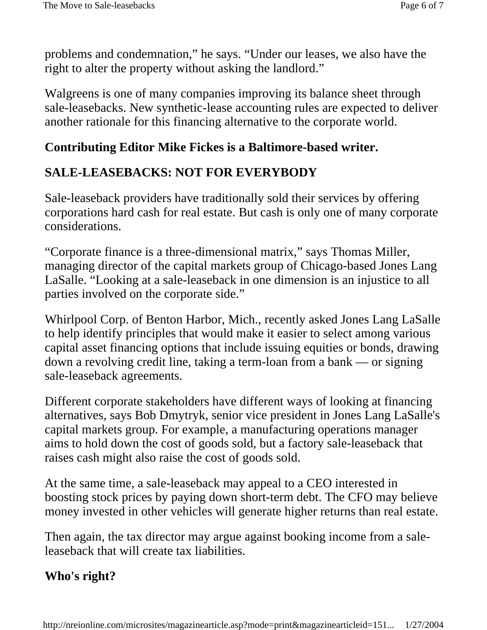problems and condemnation," he says. "Under our leases, we also have the right to alter the property without asking the landlord."

Walgreens is one of many companies improving its balance sheet through sale-leasebacks. New synthetic-lease accounting rules are expected to deliver another rationale for this financing alternative to the corporate world.

## **Contributing Editor Mike Fickes is a Baltimore-based writer.**

## **SALE-LEASEBACKS: NOT FOR EVERYBODY**

Sale-leaseback providers have traditionally sold their services by offering corporations hard cash for real estate. But cash is only one of many corporate considerations.

"Corporate finance is a three-dimensional matrix," says Thomas Miller, managing director of the capital markets group of Chicago-based Jones Lang LaSalle. "Looking at a sale-leaseback in one dimension is an injustice to all parties involved on the corporate side."

Whirlpool Corp. of Benton Harbor, Mich., recently asked Jones Lang LaSalle to help identify principles that would make it easier to select among various capital asset financing options that include issuing equities or bonds, drawing down a revolving credit line, taking a term-loan from a bank — or signing sale-leaseback agreements.

Different corporate stakeholders have different ways of looking at financing alternatives, says Bob Dmytryk, senior vice president in Jones Lang LaSalle's capital markets group. For example, a manufacturing operations manager aims to hold down the cost of goods sold, but a factory sale-leaseback that raises cash might also raise the cost of goods sold.

At the same time, a sale-leaseback may appeal to a CEO interested in boosting stock prices by paying down short-term debt. The CFO may believe money invested in other vehicles will generate higher returns than real estate.

Then again, the tax director may argue against booking income from a saleleaseback that will create tax liabilities.

# **Who's right?**